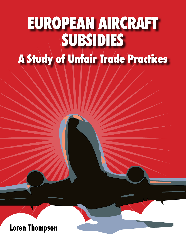# **A Study of Unfair Trade Practices EUROPEAN AIRCRAFT SUBSIDIES**

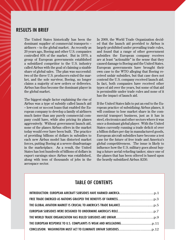# RESULTS IN BRIEF

The United States historically has been the dominant supplier of commercial transports - airliners -- to the global market. As recently as 20 years ago, Boeing and other U.S. companies controlled 85% of the market. But in 1970, a group of European governments established a subsidized competitor to the U.S. industry called Airbus with the goal of claiming a sizable share of global sales. The plan was successful: two of the three U.S. producers exited the market, and the sole survivor, Boeing, no longer claims a majority of new orders or deliveries. Airbus has thus become the dominant player in the global market.

The biggest single factor explaining the rise of Airbus was a type of subsidy called launch aid -- low-cost or no-cost loans that enabled the European company to develop a family of airliners much faster than any purely commercial company could have, while also pricing its planes aggressively. Without government launch aid, none of the planes Airbus offers in the market today would ever have been built. The practice of providing billions of dollars in subsidies to each new Airbus model has distorted market forces, putting Boeing at a severe disadvantage in the marketplace. As a result, the United States has lost hundreds of billions of dollars in export earnings since Airbus was established, along with tens of thousands of jobs in the aerospace sector.

In 2009, the World Trade Organization decided that the launch aid provided to Airbus is largely prohibited under prevailing trade rules, and found that a range of other government subsidies the European company receives are at least "actionable" in the sense that they caused damage to Boeing and the United States. European governments have brought their own case to the WTO alleging that Boeing received unfair subsidies, but that case does not contend the U.S. company received launch aid. In fact, both companies have received other types of aid over the years, but some of that aid is permissible under trade rules and none of it has the impact of launch aid.

If the United States fails to put an end to the European practice of subsidizing Airbus planes, it will continue to lose market share in the commercial transport business, just as it has in steel, electronics and other sectors where it was once a dominant global player. With the United States currently running a trade deficit of over a billion dollars per day in manufactured goods, European aircraft subsidies have become a test case for the future of free trade and America's global competitiveness. The issue is likely to influence how the U.S. military goes about buying a future aerial refueling tanker, since one of the planes that has been offered is based upon the heavily subsidized Airbus A330.

# TABLE OF CONTENTS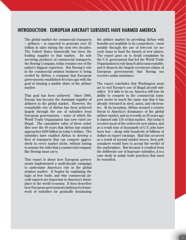# INTRODUCTION: EUROPEAN AIRCRAFT SUBSIDIES HAVE HARMED AMERICA

The global market for commercial transports - airliners – is expected to generate over \$3 trillion in sales during the next two decades. The United States historically has been the leading supplier to that market. Its sole surviving producer of commercial transports, the Boeing Company, today remains one of the nation's biggest exporters. But Boeing's role in the commercial aviation business is being eroded by Airbus, a company that European governments established 40 years ago with the goal of winning a sizable share of the airliner market.

That goal has been achieved. Since 2000, Europe has become the dominant supplier of airliners to the global market. However, the remarkable rise of Airbus has been achieved largely through the use of subsidies from European governments – some of which the World Trade Organization has now ruled are illegal. The cumulative value of these subsidies over the 40 years that Airbus has existed approaches \$200 billion in today's dollars. The subsidies have enabled Airbus to develop a fleet of transports that can compete aggressively in every market niche, without having to assume the risks that a commercial company like Boeing must carry.

This report is about how European governments implemented a multi-decade campaign to undermine America's role in the global aviation market. It begins by explaining the logic of free trade, and why commercial aircraft exports are important to America's future place in the world economy. It then describes how European governments fashioned a framework of subsidies for gradually dominating

the airliner market by providing Airbus with benefits not available to its competitors -- most notably through the use of low-cost (or nocost) loans to fund the launch of new planes. The report goes on to detail complaints by the U.S. government that led the World Trade Organization to rule launch aid is unacceptable, and it dissects the largely erroneous claims of European governments that Boeing too receives unfair assistance.

The report concludes that Washington must act to end Europe's use of illegal aircraft subsidies. If it fails to do so, America will lose its ability to compete in the commercial transport sector in much the same way that it has already retreated in steel, autos, and electronics. At its inception, Airbus seemed a remote threat to America's dominance of the global airliner market, and as recently as 20 years ago it claimed only 15% of that market. But today it receives most of the orders for new planes, and as a result tens of thousands of U.S. jobs have been lost – along with hundreds of billions of dollars in export earnings. Had this occurred as a result of normal market forces, then policymakers would have to accept the verdict of the marketplace. But because it resulted from the deliberate use of improper subsidies, it is a case study in unfair trade practices that must be remedied.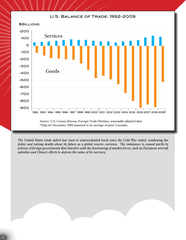#### U.S. Balance of Trade: 1992-2009



*The United States trade deficit has risen to unprecedented levels since the Cold War ended, weakening the dollar and raising doubts about its future as a global reserve currency. The imbalance is caused partly by policies of foreign governments that interfere with the functioning of market forces, such as European aircraft subsidies and China's efforts to depress the value of its currency.*

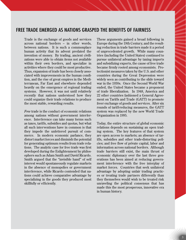# FREE TRADE EMERGED AS NATIONS GRASPED THE BENEFITS OF FAIRNESS

Trade is the exchange of goods and services across national borders -- in other words, between nations. It is such a commonplace human activity that its advent predated the invention of money. By trading, ancient civilizations were able to obtain items not available within their own borders, and specialize in activities where they could be most productive. Thus, expansion of trade has been closely associated with improvements in the human condition, and the rise of great empires in the Mediterranean, Far East and elsewhere depended heavily on the emergence of regional trading systems. However, it was not until relatively recently that nations understood how they could organize their trade relations to produce the most stable, rewarding results.

*Free* trade is the conduct of economic relations among nations without government interference. Interference can take many forms such as taxes, tariffs, subsidies and quotas, but what all such interventions have in common is that they impede the unfettered pursuit of commerce. In modern economic parlance, they distort market forces and diminish the potential for generating optimum results from trade relations. The analytic case for free trade was first developed during the Enlightenment by philosophers such as Adam Smith and David Ricardo. Smith argued that the "invisible hand" of self interest would spontaneously regulate markets in the absence of monopolies or government interference, while Ricardo contended that nations could achieve comparative advantage by specializing in the goods they produced most skillfully or efficiently.

These arguments gained a broad following in Europe during the 19th Century, and the resulting reduction in trade barriers made it a period of unprecedented growth. While many countries (including the United States) continued to pursue unilateral advantage by taxing imports and subsidizing exports, the cause of free trade became firmly rooted among economists. Protectionist measures taken by the U.S. and other countries during the Great Depression were widely seen as contributing to the slide toward war in the 1930s. Once the Second World War ended, the United States became a proponent of trade liberalization. In 1948, America and 22 other countries fashioned a General Agreement on Tariffs and Trade (GATT) to promote freer exchange of goods and services. After six rounds of tariff-reducing measures, the GATT system was replaced by the new World Trade Organization in 1995.

Today, the entire structure of global economic relations depends on sustaining an open trading system. The key features of that system are open access to markets; an absence of tariffs, subsidies and other trade-distorting policies; and free flow of private capital, labor and information across national borders. Although trade barriers still exist, the main thrust of economic diplomacy over the last three generations has been aimed at reducing government interference with the free interplay of market forces. Countries that seek unilateral advantage by adopting unfair trading practices or treating trade partners differently than they themselves would wish to be treated risk unraveling the political consensus that has made this the most prosperous, innovative era in human history.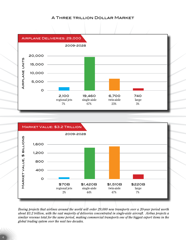#### A Three trillion Dollar Market





*Boeing projects that airlines around the world will order 29,000 new transports over a 20-year period worth about \$3.2 trillion, with the vast majority of deliveries concentrated in single-aisle aircraft. Airbus projects a similar revenue total for the same period, making commercial transports one of the biggest export items in the global trading system over the next two decades.*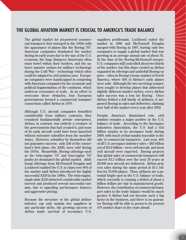# THE GLOBAL AVIATION MARKET IS CRUCIAL TO AMERICA'S TRADE BALANCE

The global market for jet-powered commercial transports first emerged in the 1950s with the appearance of planes like the Boeing 707. American companies dominated the market during its early years due to the size of the U.S. economy, the long distances Americans often must travel within their borders, and the nation's massive outlays for military technology during the Cold War -- technology which often could be adapted to civil aviation uses. European companies were handicapped in competing with American companies by the economic and political fragmentation of the continent, which undercut economies of scale. In an effort to overcome these obstacles, four European governments formed a commercial transport consortium called Airbus in 1970.

Although U.S. aircraft companies benefited considerably from military contracts, they remained fundamentally private enterprises. Airbus, in contrast, was entirely a creature of the governments that had created it, and none of its early aircraft could have been launched without extensive subsidies from the member states. However, subsidies by themselves did not guarantee success: only 256 of the consortium's first plane, the A300, were sold during the 1970s. Meanwhile, Boeing offerings such as the twin-engine 737 and four-engine 747 jumbo jet dominated the global market. Additional offerings from McDonnell Douglas and Lockheed enabled the U.S. to claim over 90% of the market until Airbus introduced the highly successful A320 in the 1980s. The twin-engine, single-aisle A320 attracted considerable market interest and produced several successful variants, due to appealing performance features and aggressive pricing.

Because the structure of the global airliner industry can only sustain two suppliers in any particular niche, the growing success of Airbus made survival of secondary U.S.

suppliers problematic. Lockheed exited the market in 1986 and McDonnell Douglas merged with Boeing in 1997, leaving only two companies to supply a global market that was growing at an average annual rate of about 5%. At the time of the Boeing-McDonnell merger, U.S. companies still controlled about two-thirds of the market, but this share eroded as Airbus expanded its offerings and underbid Boeing on price -- often in Boeing's home market of North America, where 40% of Airbus's early planes were sold. Although the two surviving competitors sought to develop planes that addressed slightly different market niches, every Airbus sales success was a loss for Boeing. Once Airbus fielded a full family of airliners, it surpassed Boeing in sales and deliveries, claiming over half of the market every year after 2002.

Despite America's diminished role, civil aviation remains a major positive in the U.S. balance of trade. According to the Aerospace Industries Association, the U.S. had a \$54 billion surplus in its aerospace trade during 2009, with much of that surplus traceable to the sale of commercial transports. Last year, 40% of all U.S. aerospace industry sales -- \$83 billion out of \$214 billion – were civil aircraft, and most civil aircraft were exported. Boeing projects that global sales of commercial transports will exceed \$3.2 trillion over the next 20 years as 29,000 new aircraft are delivered. Airbus projects sales during the same period at \$3.1 trillion for 25,000 planes. Thus, airliners are a potential bright spot in the U.S. balance of trade, which currently is running a deficit of about a billion dollars per day in manufactured goods. However, the contribution of commercial transport sales to the trade balance would be much greater if Airbus had not become such a big factor in the business, and there is no guarantee Boeing will be able to preserve its present 47% market share in the years ahead.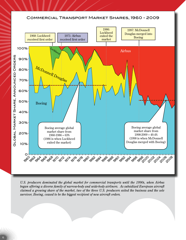#### Commercial Transport Market Shares, 1960 - 2009



*U.S. producers dominated the global market for commercial transports until the 1990s, when Airbus began offering a diverse family of narrow-body and wide-body airliners. As subsidized European aircraft claimed a growing share of the market, two of the three U.S. producers exited the business and the sole survivor, Boeing, ceased to be the biggest recipient of new aircraft orders.*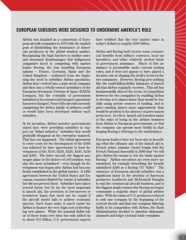# EUROPEAN SUBSIDIES WERE DESIGNED TO UNDERMINE AMERICA'S ROLE

Airbus was founded as a consortium of European aircraft companies in 1970 with the explicit goal of diminishing the dominance of American producers in the global aviation market. Recognizing the high barriers to market entry and structural disadvantages that indigenous companies faced in competing with market leader Boeing, the four founding European nations - France, Germany, Spain and the United Kingdom – embraced from the beginning the need to subsidize Airbus operations. Airbus later evolved into a joint stock company and then into a wholly-owned subsidiary of the European Aeronautic Defense & Space (EADS) Company, but the centrality of government subsidies to its commercial transport operations has never changed. None of the aircraft currently comprising the Airbus family of airliners could or would have been developed without such subsidies.

At its inception, Airbus member governments stated they were providing subsidies to support an "infant industry," subsidies that would gradually disappear as the enterprise matured. That has not happened. The initial agreement to cover costs for the development of the A300 was followed by later agreements to fund development of the A310, A320, A330, A340, A350 and A380. The latter aircraft, the biggest passenger plane in the history of civil aviation, was also the most subsidized – even though its development was begun after Airbus had become firmly established in the global market. A 1992 agreement between the United States and European countries limited the extent of subsidies but did not prevent them. Subsidies have taken several forms, but by far the most important is launch aid, the provision of low-interest or no-interest loans that need not be repaid if the aircraft model fails to achieve economic success. Such loans make it much easier for Airbus to finance the very high cost of developing new planes. While the nominal dollar value of these loans over time has only added up to about \$15 billion, U.S. government experts

have testified that the true market value in today's dollars is roughly \$200 billion.

Airbus and Boeing both receive some commercial benefits from military contracts, local tax incentives, and other relatively modest kinds of government assistance. Much of this assistance is permissible under current trading rules, and it does not appear to have played a decisive role in shaping the rivalry between the two companies. However, Boeing gets nothing like the multi-billion-dollar infusions of launch aid that Airbus regularly receives. This aid has fundamentally altered the terms of competition between the two companies by enabling Airbus to develop new planes faster than would be feasible using private sources of funding, and to price existing planes more aggressively than would be prudent in the absence of government protectors. In effect, launch aid transfers many of the risks of being in the airliner business from Airbus to European governments, so that the company can operate more boldly in challenging Boeing's offerings to the marketplace.

European leaders have not been shy in describing what the ultimate aim of the launch aid is. French prime minister Lionel Jospin told the French National Assembly in 2000 that "we will give Airbus the means to win the battle against Boeing." Airbus executives are even more unvarnished, for example describing the heavily subsidized A380 as a Boeing 747 "killer." The existence of European aircraft subsidies was a significant factor in the decision of American producers Lockheed and McDonnell Douglas to exit the commercial aircraft business, and is the biggest single reason why Boeing no longer commands a majority share of global airliner sales. With the ranks of U.S. producers reduced to only one company by the beginning of the current decade and that one company faltering badly in its competition with Airbus, the Bush Administration decided to abandon diplomatic channels and lodge a formal trade complaint.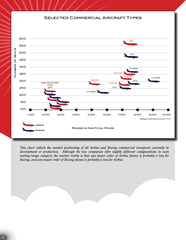#### SELECTED COMMERCIAL AIRCRAFT TYPES



*This chart reflects the market positioning of all Airbus and Boeing commercial transports currently in development or production. Although the two companies offer slightly different configurations in each seating/range category, the market reality is that any major order of Airbus planes is probably a loss for Boeing, and any major order of Boeing planes is probably a loss for Airbus.*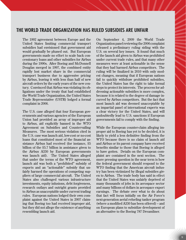### THE WORLD TRADE ORGANIZATION HAS RULED SUBSIDIES ARE UNFAIR

The 1992 agreement between Europe and the United States limiting commercial transport subsidies had envisioned that government aid would gradually be phased out. But European governments made no effort to scale back concessionary loans and other subsidies for Airbus during the 1990s. After Boeing and McDonnell Douglas merged in 1997, the combined entity rapidly lost market share in the commercial transport business due to aggressive pricing by Airbus, leaving it with less than half of new aircraft orders by the early years of the new century. Convinced that Airbus was violating its obligations under the treaty that had established the World Trade Organization, the United States Trade Representative (USTR) lodged a formal complaint in 2006.

The U.S. case alleged that four European governments and various agencies of the European Union had provided an array of improper aid to Airbus, aid explicitly banned in the WTO Agreement on Subsidies and Countervailing Measures. The most serious violation cited in the U.S. case was launch aid, low-cost or no-cost loans that constituted most of the financial assistance Airbus had received (for instance, \$5 billion of the \$5.7 billion in assistance given to the Airbus A330 by European governments was launch aid). The United States alleged that under the terms of the WTO agreement, launch aid was both a "prohibited" subsidy of exports and an "actionable" subsidy that unfairly harmed the operations of competing suppliers of large commercial aircraft. The United States also challenged various infrastructure investments, equity infusions, debt forgiveness, research outlays and outright grants provided to Airbus as unacceptable under current trading rules. European nations lodged their own complaint against the United States in 2007 claiming that Boeing too had received improper aid, but they did not allege the existence of anything resembling launch aid.

On September 4, 2009 the World Trade Organization panel reviewing the 2006 complaint released a preliminary ruling siding with the U.S. on several key issues. It found that much of the launch aid given to Airbus was prohibited under current trade rules, and that many other measures were at least actionable in the sense that they had harmed Airbus competitors. The ruling will be finalized in 2010 with only modest changes, meaning that if European nations fail to quickly withdraw prohibited subsidies, the United States has the right to take formal steps to protect its interests. The process for addressing actionable subsidies is more complex, because it is related to the degree of damage incurred by Airbus competitors. But the fact that most launch aid was deemed unacceptable by an impartial panel of international experts was a clear victory for the United States, and will undoubtedly lead to U.S. sanctions if European governments fail to comply with the finding.

While the European counter-claim alleging improper aid to Boeing has yet to be decided, it is likely to yield a less definitive finding from the WTO because there is no claim of launch aid and Airbus or its parent company have received benefits similar to those that Boeing is alleged to have gotten. Details on the European complaint are contained in the next section. The more pressing question in the near term is how the federal government should respond to the WTO finding that the American aircraft industry has been victimized by illegal subsidies given to Airbus. The trade body has said in effect that the United States was unfairly deprived of many thousands of jobs in its aerospace sector and many billions of dollars in aerospace export earnings. The debate over what to do about that fact will focus initially on the Air Force's next-generation aerial refueling tanker program (where a modified A330 has been offered) - and on European plans to subsidize development of an alternative to the Boeing 787 Dreamliner.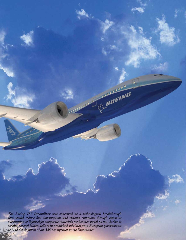*The Boeing 787 Dreamliner was conceived as a technological breakthrough that would reduce fuel consumption and exhaust emissions through extensive substitution of lightweight composite materials for heavier metal parts. Airbus is seeking several billion dollars in prohibited subsidies from European governments to fund development of an A350 competitor to the Dreamliner.*

**BOEING**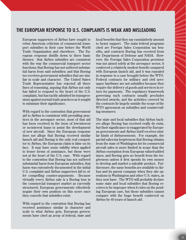# THE EUROPEAN RESPONSE TO U.S. COMPLAINTS IS WEAK AND MISLEADING

European supporters of Airbus have sought to rebut American criticism of commercial transport subsidies in their case before the World Trade Organization and elsewhere. The European response distills down to three basic themes: that Airbus subsidies are consistent with the way the commercial transport sector functions; that Boeing has not suffered substantial harm from said subsidies; and that Boeing too receives government subsidies that are similar in scale and character. The United States Trade Representative has rejected all three lines of reasoning, arguing that Airbus not only has failed to respond to the heart of the U.S. complaint, but has tacitly admitted its transgressions against normal trade practices as it sought to minimize their significance.

With regard to the contention that government aid to Airbus is consistent with prevailing practices in the aerospace sector, most of that aid has been received in the form of low-interest or no-interest loans to assist the development of new aircraft. Since the European response does not allege that Boeing received similar launch aid and Boeing is the only real competitor to Airbus, the European claim is false on its face. It may have some validity when applied to lesser forms of assistance, but those were not at the heart of the U.S. case. With regard to the contention that Boeing has not suffered substantial harm from European subsidies, that harm was extensively documented in the initial U.S. complaint and Airbus supporters fail to offer compelling counter-arguments. Because virtually every Airbus sale is a Boeing loss in the commercial transport market as currently structured, European governments effectively negate their own position on this score once they concede that subsidies exist.

With regard to the contention that Boeing has received assistance similar in character and scale to what Airbus gets, European governments have cited an array of federal, state and local benefits that they say cumulatively amount to heavy support. The main federal programs cited are Foreign Sales Corporation tax benefits, and contracts Boeing has received from the Department of Defense and NASA. However, the Foreign Sales Corporation provision was not aimed solely at the aerospace sector, it conferred a relatively modest benefit compared with European launch aid, and it was repealed in response to a case brought before the WTO. Federal contracts for military and civil aerospace hardware are not subsidies because they require the delivery of goods and services in return for payments. The regulatory framework governing such contracts usually precludes directed awards, and the activities covered by the contracts lie largely outside the scope of the WTO agreement on subsidies and countervailing measures.

The state and local subsidies that Airbus backers allege Boeing has received really do exist, but their significance is exaggerated by European governments and Airbus itself receives similar kinds of disbursements. For example, the partial sales-tax forgiveness that Boeing obtains from the state of Washington for its commercial aircraft sales is more limited in scope than the Airbus exemption from European valued-added taxes, and Boeing gets no benefit from the forgiveness unless it first spends its own money to develop and market a saleable product. Furthermore, the same benefits are available to Airbus and its parent company when they site operations in Washington and other U.S. states, as they now have. The WTO will probably declare some state and local subsidies that Boeing receives to be improper when it rules on the pending European case, but those subsidies cannot compare with the huge benefit conferred on Airbus by 40 years of launch aid.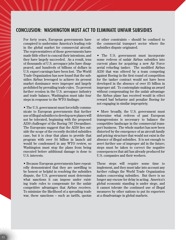# CONCLUSION: WASHINGTON MUST ACT TO ELIMINATE UNFAIR SUBSIDIES

For forty years, European governments have conspired to undermine America's leading role in the global market for commercial aircraft. The representatives of those governments have made little effort to conceal their intentions, and they have largely succeeded. As a result, tens of thousands of U.S. aerospace jobs have disappeared, and hundreds of billions of dollars in U.S. export earnings have been lost. The World Trade Organization has now found that the subsidies Airbus leveraged to achieve its present market dominance were improper and largely prohibited by prevailing trade rules. To prevent further erosion in the U.S. aerospace industry and trade balance, Washington must take four steps in response to the WTO findings:

• The U.S. government must forcefully communicate to European governments that further use of illegal subsidies to develop new planes will not be tolerated, beginning with the proposed A350 challenger of the Boeing 787 Dreamliner. The Europeans suggest that the A350 lies outside the scope of the recently decided subsidies case, but it is clear that plans to provide that program with over \$4 billion in launch aid would be condemned in any WTO review, so Washington must stop the plans from being executed before additional damage is done to U.S. interests.

• Because European governments have repeatedly demonstrated that they are unwilling to be honest or helpful in resolving the subsidies dispute, the U.S. government must determine what sanctions it can impose under existing trade rules to compensate for the unfair competitive advantages that Airbus receives. To minimize the likelihood of a spreading trade war, these sanctions – such as tariffs, quotas

12

or other constraints – should be confined to the commercial transport sector where the subsidies dispute originated.

• The U.S. government must incorporate some redress of unfair Airbus subsidies into current plans for acquiring a new Air Force aerial refueling tanker. The modified Airbus A330 that was offered by a team competing against Boeing in the first round of competition for the tanker contract would not have been developed in the absence of over \$5 billion in improper aid. To contemplate making an award without compensating for the unfair advantage the Airbus plane has received would in effect reward bad behavior and penalize Boeing for not engaging in similar impropriety.

• More broadly, the U.S. government must determine what redress of past European transgressions is necessary to balance the competitive landscape in the commercial transport business. The whole market has now been distorted by the emergence of an aircraft family and pricing structure that would not exist in the absence of illegal subsidies. It is not enough to avert further use of improper aid in the future; steps must be taken to correct the negative consequences that aid has already produced for U.S. companies and their workers.

These steps will require some time to implement, and they must take into account any further rulings the World Trade Organization makes concerning subsidies. But there is no longer any excuse for delay in acting. America's global economic standing is under siege, and it cannot tolerate the continued use of illegal measures by other nations to put its exporters at a disadvantage in global markets.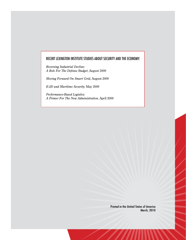#### RECENT LEXINGTON INSTITUTE STUDIES ABOUT SECURITY AND THE ECONOMY:

*Reversing Industrial Decline: A Role For The Defense Budget*, August 2009

*Moving Forward On Smart Grid*, August 2009

*E-2D and Maritime Security*, May 2009

*Performance-Based Logistics: A Primer For The New Administration*, April 2009

> Printed in the United States of America March, 2010